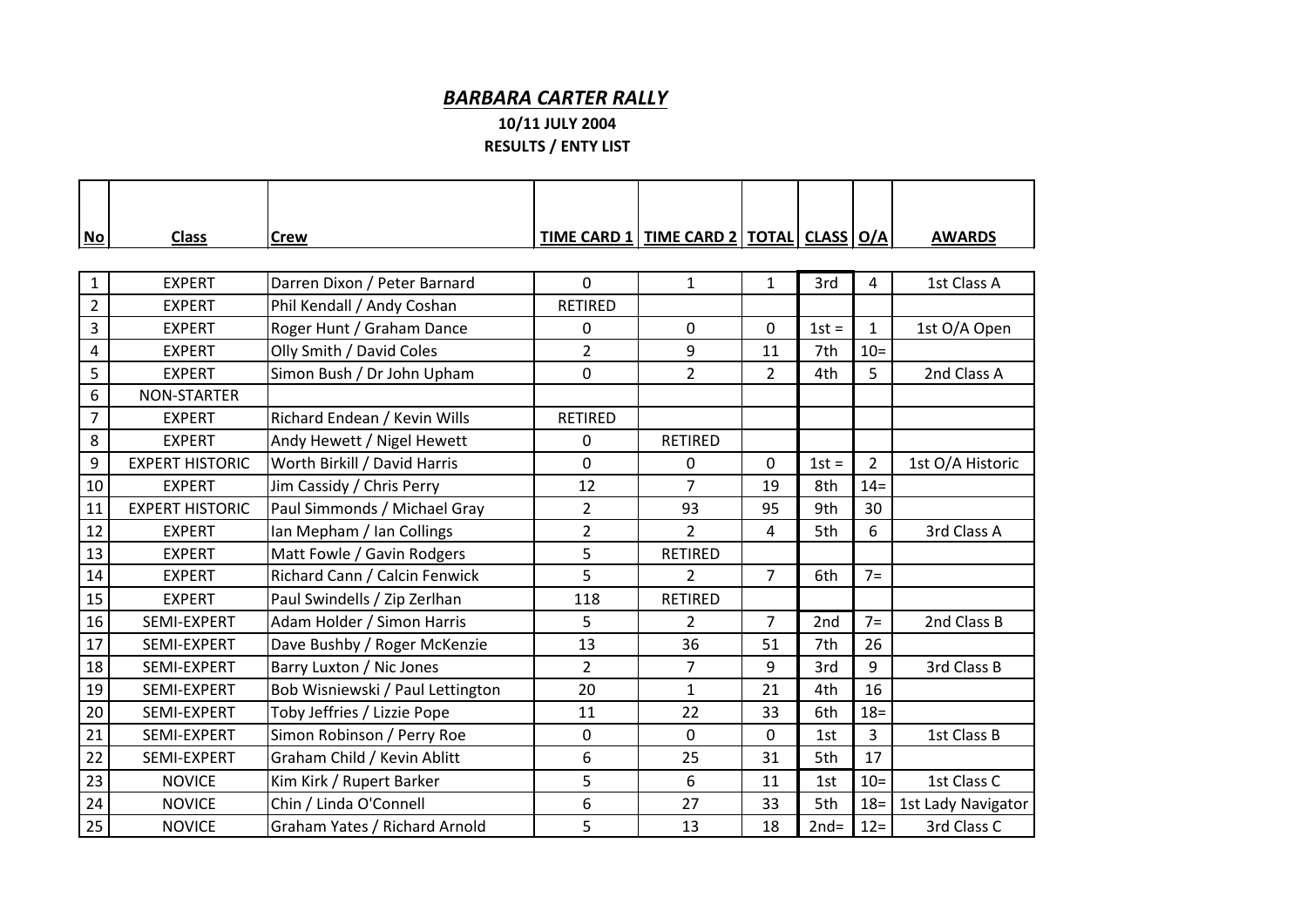## *BARBARA CARTER RALLY*

## **10/11 JULY 2004 RESULTS / ENTY LIST**

| $No$           | <b>Class</b>           | <b>Crew</b>                      |                | <u>TIME CARD 1   TIME CARD 2   TOTAL   CLASS   O/A  </u> |                |         |                | <b>AWARDS</b>      |  |  |  |  |
|----------------|------------------------|----------------------------------|----------------|----------------------------------------------------------|----------------|---------|----------------|--------------------|--|--|--|--|
|                |                        |                                  |                |                                                          |                |         |                |                    |  |  |  |  |
| $\mathbf{1}$   | <b>EXPERT</b>          | Darren Dixon / Peter Barnard     | $\mathbf 0$    | $\mathbf{1}$                                             | $\mathbf{1}$   | 3rd     | 4              | 1st Class A        |  |  |  |  |
| $\overline{2}$ | <b>EXPERT</b>          | Phil Kendall / Andy Coshan       | <b>RETIRED</b> |                                                          |                |         |                |                    |  |  |  |  |
| 3              | <b>EXPERT</b>          | Roger Hunt / Graham Dance        | 0              | $\mathbf 0$                                              | 0              | $1st =$ | $\mathbf{1}$   | 1st O/A Open       |  |  |  |  |
| 4              | <b>EXPERT</b>          | Olly Smith / David Coles         | $\overline{2}$ | 9                                                        | 11             | 7th     | $10 =$         |                    |  |  |  |  |
| 5              | <b>EXPERT</b>          | Simon Bush / Dr John Upham       | 0              | $\overline{2}$                                           | $\overline{2}$ | 4th     | 5              | 2nd Class A        |  |  |  |  |
| 6              | <b>NON-STARTER</b>     |                                  |                |                                                          |                |         |                |                    |  |  |  |  |
| 7              | <b>EXPERT</b>          | Richard Endean / Kevin Wills     | <b>RETIRED</b> |                                                          |                |         |                |                    |  |  |  |  |
| 8              | <b>EXPERT</b>          | Andy Hewett / Nigel Hewett       | 0              | <b>RETIRED</b>                                           |                |         |                |                    |  |  |  |  |
| 9              | <b>EXPERT HISTORIC</b> | Worth Birkill / David Harris     | 0              | 0                                                        | 0              | $1st =$ | $\overline{2}$ | 1st O/A Historic   |  |  |  |  |
| 10             | <b>EXPERT</b>          | Jim Cassidy / Chris Perry        | 12             | $\overline{7}$                                           | 19             | 8th     | $14 =$         |                    |  |  |  |  |
| 11             | <b>EXPERT HISTORIC</b> | Paul Simmonds / Michael Gray     | $\overline{2}$ | 93                                                       | 95             | 9th     | 30             |                    |  |  |  |  |
| 12             | <b>EXPERT</b>          | Ian Mepham / Ian Collings        | $\overline{2}$ | $\overline{2}$                                           | 4              | 5th     | 6              | 3rd Class A        |  |  |  |  |
| 13             | <b>EXPERT</b>          | Matt Fowle / Gavin Rodgers       | 5              | <b>RETIRED</b>                                           |                |         |                |                    |  |  |  |  |
| 14             | <b>EXPERT</b>          | Richard Cann / Calcin Fenwick    | 5              | $\overline{2}$                                           | $\overline{7}$ | 6th     | $7=$           |                    |  |  |  |  |
| 15             | <b>EXPERT</b>          | Paul Swindells / Zip Zerlhan     | 118            | <b>RETIRED</b>                                           |                |         |                |                    |  |  |  |  |
| 16             | SEMI-EXPERT            | Adam Holder / Simon Harris       | 5              | $\overline{2}$                                           | $\overline{7}$ | 2nd     | $7=$           | 2nd Class B        |  |  |  |  |
| 17             | SEMI-EXPERT            | Dave Bushby / Roger McKenzie     | 13             | 36                                                       | 51             | 7th     | 26             |                    |  |  |  |  |
| 18             | SEMI-EXPERT            | Barry Luxton / Nic Jones         | $\overline{2}$ | $\overline{7}$                                           | 9              | 3rd     | 9              | 3rd Class B        |  |  |  |  |
| 19             | SEMI-EXPERT            | Bob Wisniewski / Paul Lettington | 20             | $\mathbf{1}$                                             | 21             | 4th     | 16             |                    |  |  |  |  |
| 20             | SEMI-EXPERT            | Toby Jeffries / Lizzie Pope      | 11             | 22                                                       | 33             | 6th     | $18 =$         |                    |  |  |  |  |
| 21             | SEMI-EXPERT            | Simon Robinson / Perry Roe       | 0              | $\mathbf{0}$                                             | 0              | 1st     | 3              | 1st Class B        |  |  |  |  |
| 22             | SEMI-EXPERT            | Graham Child / Kevin Ablitt      | 6              | 25                                                       | 31             | 5th     | 17             |                    |  |  |  |  |
| 23             | <b>NOVICE</b>          | Kim Kirk / Rupert Barker         | 5              | 6                                                        | 11             | 1st     | $10 =$         | 1st Class C        |  |  |  |  |
| 24             | <b>NOVICE</b>          | Chin / Linda O'Connell           | 6              | 27                                                       | 33             | 5th     | $18 =$         | 1st Lady Navigator |  |  |  |  |
| 25             | <b>NOVICE</b>          | Graham Yates / Richard Arnold    | 5              | 13                                                       | 18             | $2nd=$  | $12 =$         | 3rd Class C        |  |  |  |  |